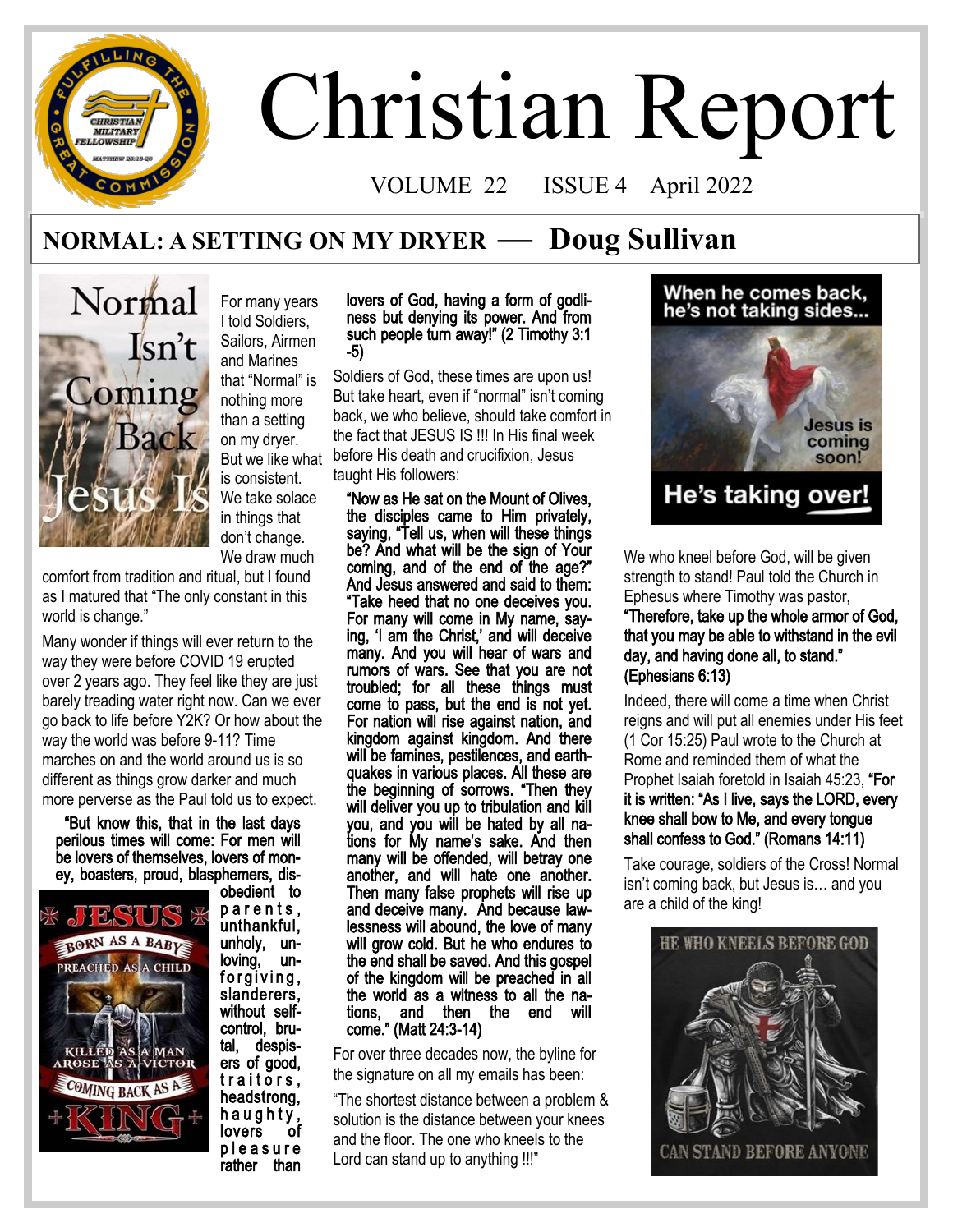# **CHRISTIAN** MILITARY OWSHIP

# Christian Report

VOLUME 22 ISSUE 4 April 2022

## **NORMAL: A SETTING ON MY DRYER — Doug Sullivan**



For many years I told Soldiers, Sailors, Airmen and Marines that "Normal" is nothing more than a setting on my dryer. But we like what is consistent. We take solace in things that don't change. We draw much

comfort from tradition and ritual, but I found as I matured that "The only constant in this world is change."

Many wonder if things will ever return to the way they were before COVID 19 erupted over 2 years ago. They feel like they are just barely treading water right now. Can we ever go back to life before Y2K? Or how about the way the world was before 9-11? Time marches on and the world around us is so different as things grow darker and much more perverse as the Paul told us to expect.

"But know this, that in the last days perilous times will come: For men will be lovers of themselves, lovers of money, boasters, proud, blasphemers, dis-



obedient to parents, unthankful, unholy, unloving, unforgiving, slanderers, without selfcontrol, brutal, despisers of good, traitors, headstrong, h a u g h t y, lovers of p l e a s u r e rather than

#### lovers of God, having a form of godliness but denying its power. And from such people turn away!" (2 Timothy 3:1 -5)

Soldiers of God, these times are upon us! But take heart, even if "normal" isn't coming back, we who believe, should take comfort in the fact that JESUS IS !!! In His final week before His death and crucifixion, Jesus taught His followers:

"Now as He sat on the Mount of Olives, the disciples came to Him privately, saying, "Tell us, when will these things be? And what will be the sign of Your coming, and of the end of the age?" And Jesus answered and said to them: "Take heed that no one deceives you. For many will come in My name, saying, 'I am the Christ,' and will deceive many. And you will hear of wars and rumors of wars. See that you are not troubled; for all these things must come to pass, but the end is not yet. For nation will rise against nation, and kingdom against kingdom. And there will be famines, pestilences, and earthquakes in various places. All these are the beginning of sorrows. "Then they will deliver you up to tribulation and kill you, and you will be hated by all nations for My name's sake. And then many will be offended, will betray one another, and will hate one another. Then many false prophets will rise up and deceive many. And because lawlessness will abound, the love of many will grow cold. But he who endures to the end shall be saved. And this gospel of the kingdom will be preached in all the world as a witness to all the nations, and then the end will come." (Matt 24:3-14)

For over three decades now, the byline for the signature on all my emails has been:

"The shortest distance between a problem & solution is the distance between your knees and the floor. The one who kneels to the Lord can stand up to anything !!!"

## When he comes back, he's not taking sides...



We who kneel before God, will be given strength to stand! Paul told the Church in Ephesus where Timothy was pastor,

"Therefore, take up the whole armor of God, that you may be able to withstand in the evil day, and having done all, to stand." (Ephesians 6:13)

Indeed, there will come a time when Christ reigns and will put all enemies under His feet (1 Cor 15:25) Paul wrote to the Church at Rome and reminded them of what the Prophet Isaiah foretold in Isaiah 45:23, "For it is written: "As I live, says the LORD, every knee shall bow to Me, and every tongue shall confess to God." (Romans 14:11)

Take courage, soldiers of the Cross! Normal isn't coming back, but Jesus is… and you are a child of the king!

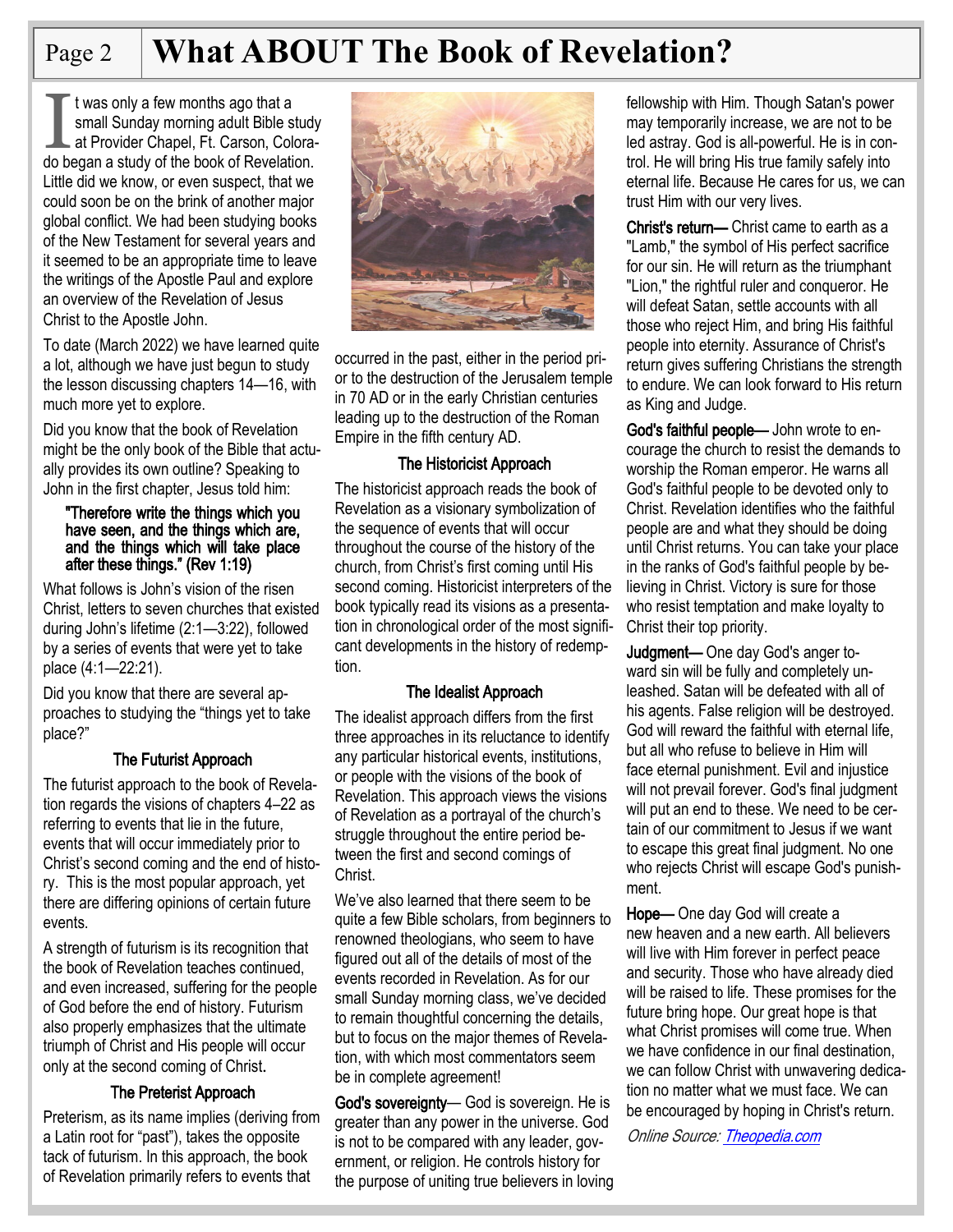## Page 2 **What ABOUT The Book of Revelation?**

I t was only a few months ago that a<br>
small Sunday morning adult Bible study<br>
at Provider Chapel, Ft. Carson, Colora-<br>
do began a study of the book of Revelation. t was only a few months ago that a small Sunday morning adult Bible study at Provider Chapel, Ft. Carson, Colora-Little did we know, or even suspect, that we could soon be on the brink of another major global conflict. We had been studying books of the New Testament for several years and it seemed to be an appropriate time to leave the writings of the Apostle Paul and explore an overview of the Revelation of Jesus Christ to the Apostle John.

To date (March 2022) we have learned quite a lot, although we have just begun to study the lesson discussing chapters 14—16, with much more yet to explore.

Did you know that the book of Revelation might be the only book of the Bible that actually provides its own outline? Speaking to John in the first chapter, Jesus told him:

#### "Therefore write the things which you have seen, and the things which are, and the things which will take place after these things." (Rev 1:19)

What follows is John's vision of the risen Christ, letters to seven churches that existed during John's lifetime (2:1—3:22), followed by a series of events that were yet to take place (4:1—22:21).

Did you know that there are several approaches to studying the "things yet to take place?"

### The Futurist Approach

The futurist approach to the book of Revelation regards the visions of chapters 4–22 as referring to events that lie in the future, events that will occur immediately prior to Christ's second coming and the end of history. This is the most popular approach, yet there are differing opinions of certain future events.

A strength of futurism is its recognition that the book of Revelation teaches continued, and even increased, suffering for the people of God before the end of history. Futurism also properly emphasizes that the ultimate triumph of Christ and His people will occur only at the second coming of Christ.

#### The Preterist Approach

Preterism, as its name implies (deriving from a Latin root for "past"), takes the opposite tack of futurism. In this approach, the book of Revelation primarily refers to events that



occurred in the past, either in the period prior to the destruction of the Jerusalem temple in 70 AD or in the early Christian centuries leading up to the destruction of the Roman Empire in the fifth century AD.

#### The Historicist Approach

The historicist approach reads the book of Revelation as a visionary symbolization of the sequence of events that will occur throughout the course of the history of the church, from Christ's first coming until His second coming. Historicist interpreters of the book typically read its visions as a presentation in chronological order of the most significant developments in the history of redemption.

#### The Idealist Approach

The idealist approach differs from the first three approaches in its reluctance to identify any particular historical events, institutions, or people with the visions of the book of Revelation. This approach views the visions of Revelation as a portrayal of the church's struggle throughout the entire period between the first and second comings of Christ.

We've also learned that there seem to be quite a few Bible scholars, from beginners to renowned theologians, who seem to have figured out all of the details of most of the events recorded in Revelation. As for our small Sunday morning class, we've decided to remain thoughtful concerning the details, but to focus on the major themes of Revelation, with which most commentators seem be in complete agreement!

God's sovereignty— God is sovereign. He is greater than any power in the universe. God is not to be compared with any leader, government, or religion. He controls history for the purpose of uniting true believers in loving fellowship with Him. Though Satan's power may temporarily increase, we are not to be led astray. God is all-powerful. He is in control. He will bring His true family safely into eternal life. Because He cares for us, we can trust Him with our very lives.

Christ's return— Christ came to earth as a "Lamb," the symbol of His perfect sacrifice for our sin. He will return as the triumphant "Lion," the rightful ruler and conqueror. He will defeat Satan, settle accounts with all those who reject Him, and bring His faithful people into eternity. Assurance of Christ's return gives suffering Christians the strength to endure. We can look forward to His return as King and Judge.

God's faithful people— John wrote to encourage the church to resist the demands to worship the Roman emperor. He warns all God's faithful people to be devoted only to Christ. Revelation identifies who the faithful people are and what they should be doing until Christ returns. You can take your place in the ranks of God's faithful people by believing in Christ. Victory is sure for those who resist temptation and make loyalty to Christ their top priority.

Judgment— One day God's anger toward sin will be fully and completely unleashed. Satan will be defeated with all of his agents. False religion will be destroyed. God will reward the faithful with eternal life, but all who refuse to believe in Him will face eternal punishment. Evil and injustice will not prevail forever. God's final judgment will put an end to these. We need to be certain of our commitment to Jesus if we want to escape this great final judgment. No one who rejects Christ will escape God's punishment.

Hope— One day God will create a new heaven and a new earth. All believers will live with Him forever in perfect peace and security. Those who have already died will be raised to life. These promises for the future bring hope. Our great hope is that what Christ promises will come true. When we have confidence in our final destination, we can follow Christ with unwavering dedication no matter what we must face. We can be encouraged by hoping in Christ's return.

Online Source: [Theopedia.com](https://www.theopedia.com/?msclkid=d666c239a24411ec91fa324514adc51d)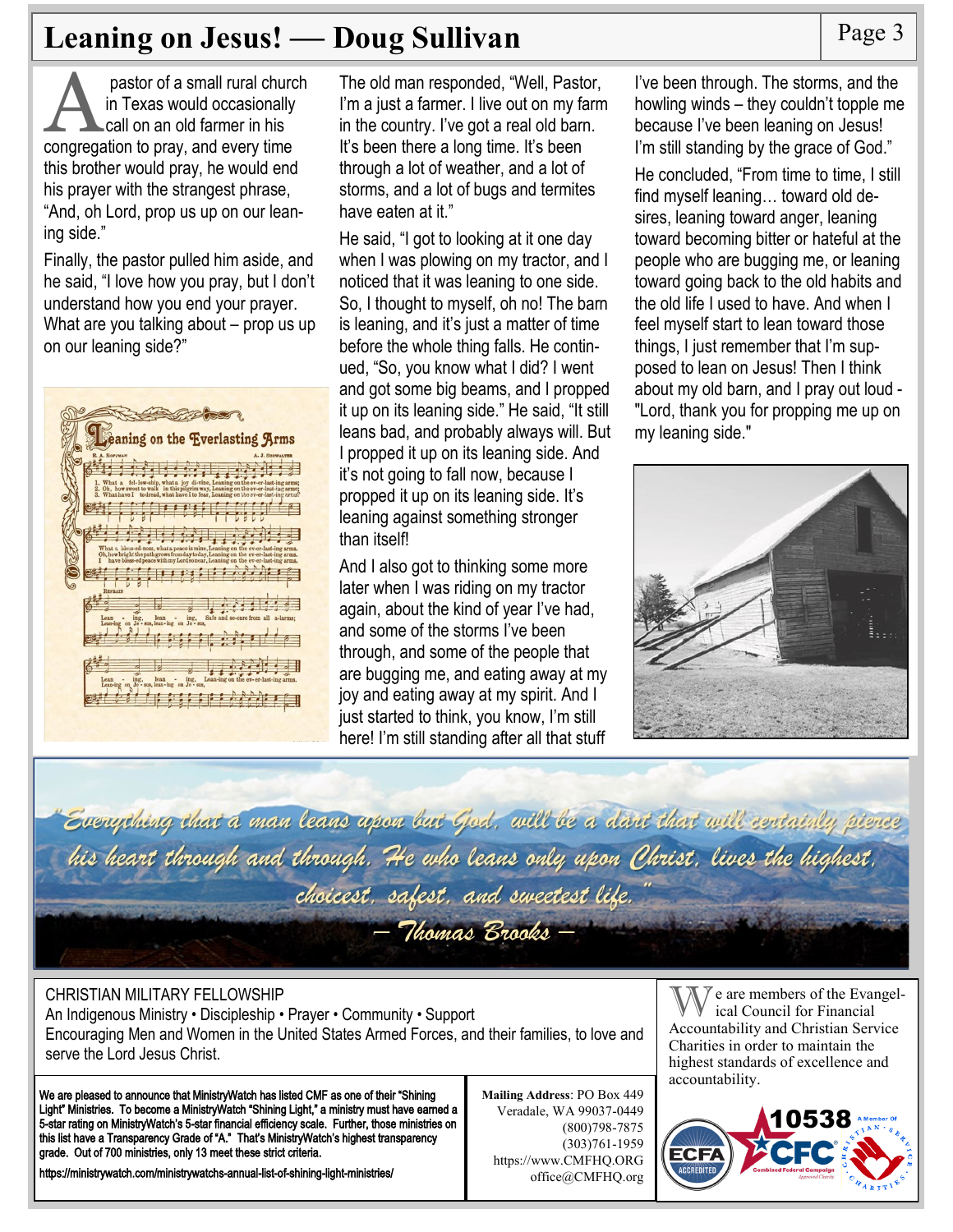## **Leaning on Jesus! — Doug Sullivan** Page 3

pastor of a small rural churc<br>in Texas would occasionally<br>call on an old farmer in his<br>congregation to pray, and every time pastor of a small rural church in Texas would occasionally call on an old farmer in his this brother would pray, he would end his prayer with the strangest phrase, "And, oh Lord, prop us up on our leaning side."

Finally, the pastor pulled him aside, and he said, "I love how you pray, but I don't understand how you end your prayer. What are you talking about – prop us up on our leaning side?"

| eaning on the Everlasting Arms                                                                                                                                                                                                                          |
|---------------------------------------------------------------------------------------------------------------------------------------------------------------------------------------------------------------------------------------------------------|
| A. HOFFMAN<br>A. J. SHOWALTER                                                                                                                                                                                                                           |
| 1. What a fel-low-ship, what a joy di-vine, Leaning on the ev-er-last-ing arms; 2. Oh, how sweet to walk in this pilgrim way, Leaning on the ev-er-last-ing arms;<br>3. What have I to dread, what have I to fear, Leaning on the ev-er-last-ing arms?  |
|                                                                                                                                                                                                                                                         |
|                                                                                                                                                                                                                                                         |
| What a bless-ed-ness, what a peace is mine, Leaning on the ev-er-last-ing arms.<br>Oh, how bright the path grows from day today, Leaning on the ev-er-last-ing arms.<br>have bless-edpeace with my Lordsonear, Leaning on the ev-er-last-ing arms.<br>I |
|                                                                                                                                                                                                                                                         |
| <b>REFRAIN</b>                                                                                                                                                                                                                                          |
| ing.<br>Safe and se-cure from all a-larms:<br>Lean<br>lean<br>ing.<br>$\overline{\phantom{a}}$<br>Lean-ing on Je - sus, lean-ing on Je - sus,                                                                                                           |
|                                                                                                                                                                                                                                                         |
| Lean-ing on the ev-er-last-ing arms.<br>ing,<br>lean<br>ing.<br>Lean<br>$\overline{a}$                                                                                                                                                                  |
| Lean-ing on Je - sus, lean-ing on Je - sus,                                                                                                                                                                                                             |
|                                                                                                                                                                                                                                                         |

The old man responded, "Well, Pastor, I'm a just a farmer. I live out on my farm in the country. I've got a real old barn. It's been there a long time. It's been through a lot of weather, and a lot of storms, and a lot of bugs and termites have eaten at it."

He said, "I got to looking at it one day when I was plowing on my tractor, and I noticed that it was leaning to one side. So, I thought to myself, oh no! The barn is leaning, and it's just a matter of time before the whole thing falls. He continued, "So, you know what I did? I went and got some big beams, and I propped it up on its leaning side." He said, "It still leans bad, and probably always will. But I propped it up on its leaning side. And it's not going to fall now, because I propped it up on its leaning side. It's leaning against something stronger than itself!

And I also got to thinking some more later when I was riding on my tractor again, about the kind of year I've had, and some of the storms I've been through, and some of the people that are bugging me, and eating away at my joy and eating away at my spirit. And I just started to think, you know, I'm still here! I'm still standing after all that stuff

I've been through. The storms, and the howling winds – they couldn't topple me because I've been leaning on Jesus! I'm still standing by the grace of God."

He concluded, "From time to time, I still find myself leaning… toward old desires, leaning toward anger, leaning toward becoming bitter or hateful at the people who are bugging me, or leaning toward going back to the old habits and the old life I used to have. And when I feel myself start to lean toward those things, I just remember that I'm supposed to lean on Jesus! Then I think about my old barn, and I pray out loud - "Lord, thank you for propping me up on my leaning side."



Everything that a man leans upon but God. will be a dart that will certainly pierce his heart through and through. He who leans only upon Christ. lives the highest. choicest. safest. and sweetest life. - Thomas Brooks -

#### CHRISTIAN MILITARY FELLOWSHIP

An Indigenous Ministry • Discipleship • Prayer • Community • Support Encouraging Men and Women in the United States Armed Forces, and their families, to love and serve the Lord Jesus Christ.

We are pleased to announce that MinistryWatch has listed CMF as one of their "Shining Light" Ministries. To become a MinistryWatch "Shining Light," a ministry must have earned a 5-star rating on MinistryWatch's 5-star financial efficiency scale. Further, those ministries on this list have a Transparency Grade of "A." That's MinistryWatch's highest transparency grade. Out of 700 ministries, only 13 meet these strict criteria.

https://ministrywatch.com/ministrywatchs-annual-list-of-shining-light-ministries/

**Mailing Address**: PO Box 449 Veradale, WA 99037-0449 (800)798-7875 (303)761-1959 https://www.CMFHQ.ORG office@CMFHQ.org

 $\bar{y}$  e are members of the Evangelical Council for Financial Accountability and Christian Service Charities in order to maintain the highest standards of excellence and accountability.